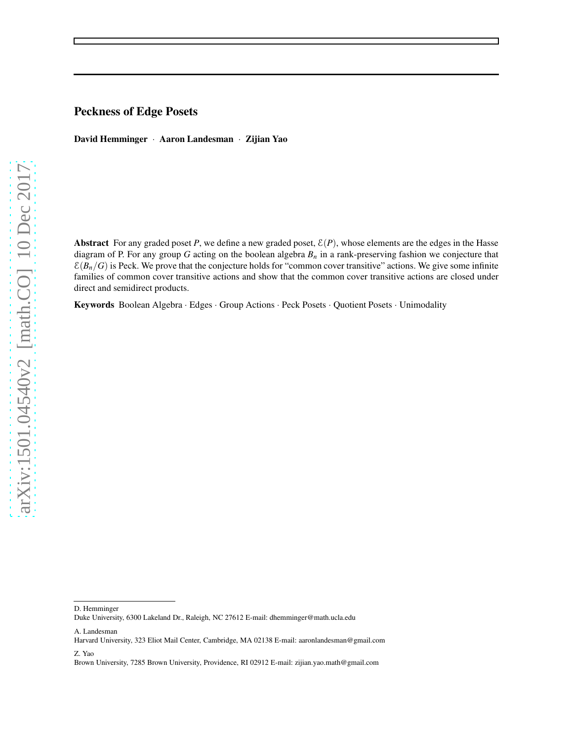# Peckness of Edge Posets

David Hemminger · Aaron Landesman · Zijian Yao

Abstract For any graded poset *P*, we define a new graded poset,  $E(P)$ , whose elements are the edges in the Hasse diagram of P. For any group *G* acting on the boolean algebra *B<sup>n</sup>* in a rank-preserving fashion we conjecture that  $\mathcal{E}(B_n/G)$  is Peck. We prove that the conjecture holds for "common cover transitive" actions. We give some infinite families of common cover transitive actions and show that the common cover transitive actions are closed under direct and semidirect products.

Keywords Boolean Algebra · Edges · Group Actions · Peck Posets · Quotient Posets · Unimodality

A. Landesman

Z. Yao

Brown University, 7285 Brown University, Providence, RI 02912 E-mail: zijian.yao.math@gmail.com

D. Hemminger

Duke University, 6300 Lakeland Dr., Raleigh, NC 27612 E-mail: dhemminger@math.ucla.edu

Harvard University, 323 Eliot Mail Center, Cambridge, MA 02138 E-mail: aaronlandesman@gmail.com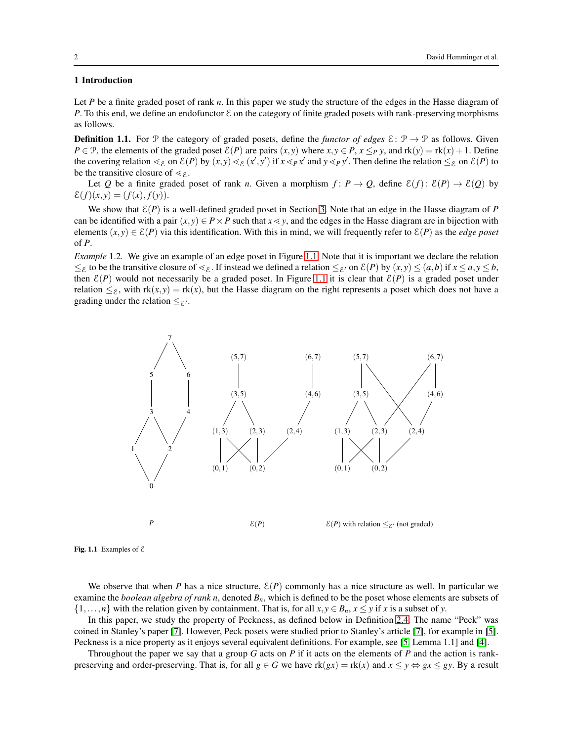## 1 Introduction

Let *P* be a finite graded poset of rank *n*. In this paper we study the structure of the edges in the Hasse diagram of *P*. To this end, we define an endofunctor  $\mathcal E$  on the category of finite graded posets with rank-preserving morphisms as follows.

<span id="page-1-0"></span>**Definition 1.1.** For P the category of graded posets, define the *functor of edges*  $\mathcal{E} : \mathcal{P} \to \mathcal{P}$  as follows. Given *P* ∈ P, the elements of the graded poset  $\mathcal{E}(P)$  are pairs  $(x, y)$  where  $x, y \in P$ ,  $x \leq_P y$ , and  $rk(y) = rk(x) + 1$ . Define the covering relation  $\lt_{\mathcal{E}}$  on  $\mathcal{E}(P)$  by  $(x, y) \leq_{\mathcal{E}} (x', y')$  if  $x \leq_{P} x'$  and  $y \leq_{P} y'$ . Then define the relation  $\leq_{\mathcal{E}}$  on  $\mathcal{E}(P)$  to be the transitive closure of  $\leq_{\mathcal{E}}$ .

Let *Q* be a finite graded poset of rank *n*. Given a morphism  $f: P \to Q$ , define  $\mathcal{E}(f): \mathcal{E}(P) \to \mathcal{E}(Q)$  by  $\mathcal{E}(f)(x, y) = (f(x), f(y)).$ 

We show that  $\mathcal{E}(P)$  is a well-defined graded poset in Section [3.](#page-3-0) Note that an edge in the Hasse diagram of P can be identified with a pair  $(x, y) \in P \times P$  such that  $x \le y$ , and the edges in the Hasse diagram are in bijection with elements  $(x, y) \in \mathcal{E}(P)$  via this identification. With this in mind, we will frequently refer to  $\mathcal{E}(P)$  as the *edge poset* of *P*.

*Example* 1.2*.* We give an example of an edge poset in Figure [1.1.](#page-12-0) Note that it is important we declare the relation  $≤$ ε to be the transitive closure of  $≤$ ε. If instead we defined a relation  $≤$ ε' on  $\mathcal{E}(P)$  by  $(x, y) ≤ (a, b)$  if  $x ≤ a, y ≤ b$ , then  $\mathcal{E}(P)$  would not necessarily be a graded poset. In Figure [1.1](#page-12-0) it is clear that  $\mathcal{E}(P)$  is a graded poset under relation  $\leq_{\mathcal{E}}$ , with  $rk(x,y) = rk(x)$ , but the Hasse diagram on the right represents a poset which does not have a grading under the relation  $\leq_{\mathcal{E}'}$ .



Fig. 1.1 Examples of  $\mathcal E$ 

We observe that when *P* has a nice structure,  $\mathcal{E}(P)$  commonly has a nice structure as well. In particular we examine the *boolean algebra of rank n*, denoted *Bn*, which is defined to be the poset whose elements are subsets of  $\{1,\ldots,n\}$  with the relation given by containment. That is, for all  $x, y \in B_n$ ,  $x \leq y$  if *x* is a subset of *y*.

In this paper, we study the property of Peckness, as defined below in Definition [2.4.](#page-3-1) The name "Peck" was coined in Stanley's paper [\[7\]](#page-17-0). However, Peck posets were studied prior to Stanley's article [\[7\]](#page-17-0), for example in [\[5\]](#page-17-1). Peckness is a nice property as it enjoys several equivalent definitions. For example, see [\[5,](#page-17-1) Lemma 1.1] and [\[4\]](#page-17-2).

Throughout the paper we say that a group *G* acts on *P* if it acts on the elements of *P* and the action is rankpreserving and order-preserving. That is, for all  $g \in G$  we have  $rk(gx) = rk(x)$  and  $x \le y \Leftrightarrow gx \le gy$ . By a result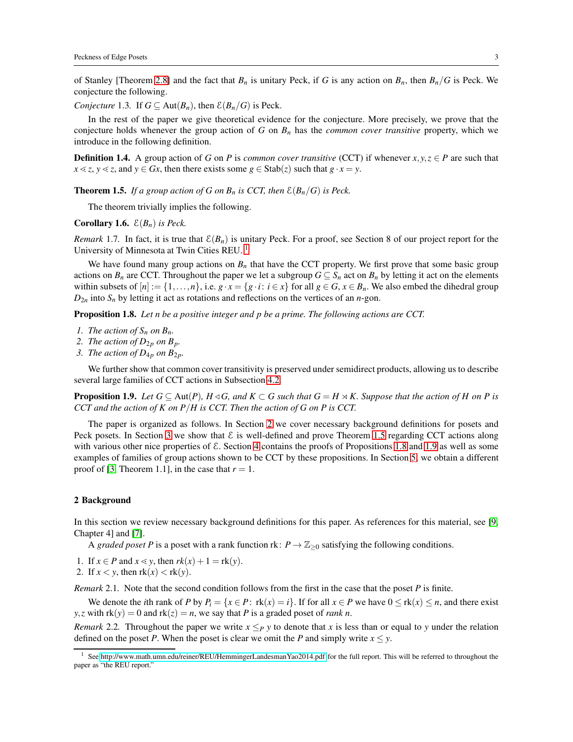of Stanley [Theorem [2.8\]](#page-3-2) and the fact that  $B_n$  is unitary Peck, if *G* is any action on  $B_n$ , then  $B_n/G$  is Peck. We conjecture the following.

<span id="page-2-6"></span>*Conjecture* 1.3. If  $G \subseteq \text{Aut}(B_n)$ , then  $\mathcal{E}(B_n/G)$  is Peck.

In the rest of the paper we give theoretical evidence for the conjecture. More precisely, we prove that the conjecture holds whenever the group action of *G* on *B<sup>n</sup>* has the *common cover transitive* property, which we introduce in the following definition.

<span id="page-2-5"></span>**Definition 1.4.** A group action of *G* on *P* is *common cover transitive* (CCT) if whenever  $x, y, z \in P$  are such that  $x \le z$ ,  $y \le z$ , and  $y \in Gx$ , then there exists some  $g \in \text{Stab}(z)$  such that  $g \cdot x = y$ .

<span id="page-2-2"></span>**Theorem 1.5.** *If a group action of G on B<sub>n</sub> is CCT, then*  $\mathcal{E}(B_n/G)$  *is Peck.* 

The theorem trivially implies the following.

## **Corollary 1.6.**  $\mathcal{E}(B_n)$  *is Peck.*

*Remark* 1.7. In fact, it is true that  $\mathcal{E}(B_n)$  is unitary Peck. For a proof, see Section 8 of our project report for the University of Minnesota at Twin Cities REU.<sup>[1](#page-2-0)</sup>

We have found many group actions on  $B_n$  that have the CCT property. We first prove that some basic group actions on  $B_n$  are CCT. Throughout the paper we let a subgroup  $G \subseteq S_n$  act on  $B_n$  by letting it act on the elements within subsets of  $[n] := \{1, \ldots, n\}$ , i.e.  $g \cdot x = \{g \cdot i : i \in x\}$  for all  $g \in G$ ,  $x \in B_n$ . We also embed the dihedral group  $D_{2n}$  into  $S_n$  by letting it act as rotations and reflections on the vertices of an *n*-gon.

<span id="page-2-3"></span>Proposition 1.8. *Let n be a positive integer and p be a prime. The following actions are CCT.*

- *1. The action of*  $S_n$  *on*  $B_n$ *.*
- 2. The action of  $D_{2p}$  on  $B_p$ .
- *3. The action of*  $D_{4p}$  *on*  $B_{2p}$ *.*

We further show that common cover transitivity is preserved under semidirect products, allowing us to describe several large families of CCT actions in Subsection [4.2.](#page-11-0)

<span id="page-2-4"></span>**Proposition 1.9.** *Let*  $G \subseteq \text{Aut}(P)$ *,*  $H \triangleleft G$ *, and*  $K \subset G$  *such that*  $G = H \rtimes K$ *. Suppose that the action of H on P is CCT and the action of K on P*/*H is CCT. Then the action of G on P is CCT.*

The paper is organized as follows. In Section [2](#page-2-1) we cover necessary background definitions for posets and Peck posets. In Section [3](#page-3-0) we show that  $\mathcal E$  is well-defined and prove Theorem [1.5](#page-2-2) regarding CCT actions along with various other nice properties of  $\mathcal E$ . Section [4](#page-10-0) contains the proofs of Propositions [1.8](#page-2-3) and [1.9](#page-2-4) as well as some examples of families of group actions shown to be CCT by these propositions. In Section [5,](#page-15-0) we obtain a different proof of [\[3,](#page-17-3) Theorem 1.1], in the case that  $r = 1$ .

### <span id="page-2-1"></span>2 Background

In this section we review necessary background definitions for this paper. As references for this material, see [\[9,](#page-17-4) Chapter 4] and [\[7\]](#page-17-0).

A *graded poset P* is a poset with a rank function rk:  $P \rightarrow \mathbb{Z}_{\geq 0}$  satisfying the following conditions.

- 1. If  $x \in P$  and  $x \le y$ , then  $rk(x) + 1 = rk(y)$ .
- 2. If  $x < y$ , then  $rk(x) < rk(y)$ .

*Remark* 2.1*.* Note that the second condition follows from the first in the case that the poset *P* is finite.

We denote the *i*th rank of *P* by  $P_i = \{x \in P : \text{rk}(x) = i\}$ . If for all  $x \in P$  we have  $0 \leq \text{rk}(x) \leq n$ , and there exist *y*,*z* with  $rk(y) = 0$  and  $rk(z) = n$ , we say that *P* is a graded poset of *rank n*.

*Remark* 2.2. Throughout the paper we write  $x \leq_P y$  to denote that *x* is less than or equal to *y* under the relation defined on the poset *P*. When the poset is clear we omit the *P* and simply write  $x \le y$ .

<span id="page-2-0"></span><sup>&</sup>lt;sup>1</sup> See<http://www.math.umn.edu/reiner/REU/HemmingerLandesmanYao2014.pdf> for the full report. This will be referred to throughout the paper as "the REU report."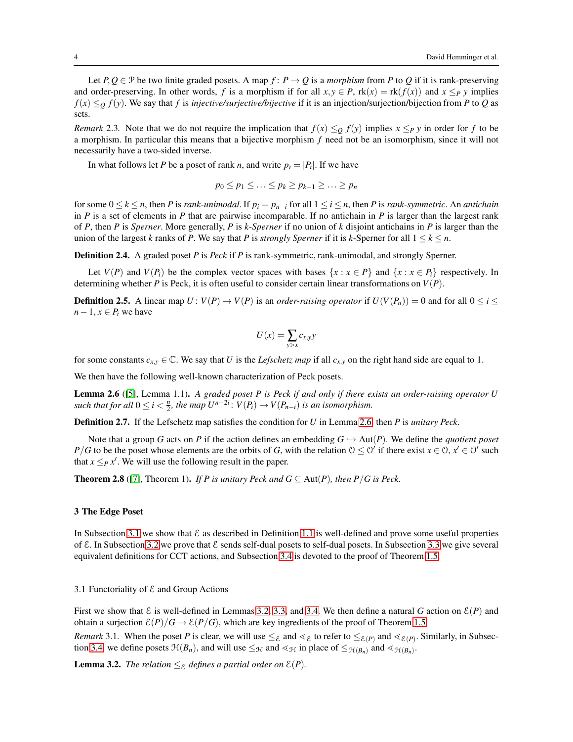Let  $P, Q \in \mathcal{P}$  be two finite graded posets. A map  $f: P \to Q$  is a *morphism* from P to Q if it is rank-preserving and order-preserving. In other words, *f* is a morphism if for all  $x, y \in P$ ,  $rk(x) = rk(f(x))$  and  $x \leq_P y$  implies  $f(x) \leq_0 f(y)$ . We say that *f* is *injective/surjective/bijective* if it is an injection/surjection/bijection from *P* to *Q* as sets.

*Remark* 2.3. Note that we do not require the implication that  $f(x) \leq_Q f(y)$  implies  $x \leq_P y$  in order for *f* to be a morphism. In particular this means that a bijective morphism *f* need not be an isomorphism, since it will not necessarily have a two-sided inverse.

In what follows let *P* be a poset of rank *n*, and write  $p_i = |P_i|$ . If we have

$$
p_0 \leq p_1 \leq \ldots \leq p_k \geq p_{k+1} \geq \ldots \geq p_n
$$

for some  $0 \leq k \leq n$ , then *P* is *rank-unimodal*. If  $p_i = p_{n-i}$  for all  $1 \leq i \leq n$ , then *P* is *rank-symmetric*. An *antichain* in  $P$  is a set of elements in  $P$  that are pairwise incomparable. If no antichain in  $P$  is larger than the largest rank of *P*, then *P* is *Sperner*. More generally, *P* is *k-Sperner* if no union of *k* disjoint antichains in *P* is larger than the union of the largest *k* ranks of *P*. We say that *P* is *strongly Sperner* if it is *k*-Sperner for all  $1 \le k \le n$ .

<span id="page-3-1"></span>Definition 2.4. A graded poset *P* is *Peck* if *P* is rank-symmetric, rank-unimodal, and strongly Sperner.

Let  $V(P)$  and  $V(P_i)$  be the complex vector spaces with bases  $\{x : x \in P\}$  and  $\{x : x \in P_i\}$  respectively. In determining whether *P* is Peck, it is often useful to consider certain linear transformations on  $V(P)$ .

**Definition 2.5.** A linear map  $U: V(P) \to V(P)$  is an *order-raising operator* if  $U(V(P_n)) = 0$  and for all  $0 \le i \le n$  $n-1, x \in P_i$  we have

$$
U(x) = \sum_{y>x} c_{x,y} y
$$

for some constants  $c_{x,y} \in \mathbb{C}$ . We say that *U* is the *Lefschetz map* if all  $c_{x,y}$  on the right hand side are equal to 1.

We then have the following well-known characterization of Peck posets.

<span id="page-3-3"></span>Lemma 2.6 ([\[5\]](#page-17-1), Lemma 1.1). *A graded poset P is Peck if and only if there exists an order-raising operator U* such that for all  $0 \leq i < \frac{n}{2}$ , the map  $U^{n-2i}$ :  $V(P_i) \to V(P_{n-i})$  is an isomorphism.

Definition 2.7. If the Lefschetz map satisfies the condition for *U* in Lemma [2.6,](#page-3-3) then *P* is *unitary Peck*.

Note that a group *G* acts on *P* if the action defines an embedding  $G \hookrightarrow \text{Aut}(P)$ . We define the *quotient poset P*/*G* to be the poset whose elements are the orbits of *G*, with the relation  $0 \le 0'$  if there exist  $x \in 0, x' \in 0'$  such that  $x \leq_P x'$ . We will use the following result in the paper.

<span id="page-3-2"></span>**Theorem 2.8** ([\[7\]](#page-17-0), Theorem 1). *If P is unitary Peck and*  $G \subseteq Aut(P)$ *, then P/G is Peck.* 

## <span id="page-3-0"></span>3 The Edge Poset

In Subsection [3.1](#page-3-4) we show that  $\mathcal E$  as described in Definition [1.1](#page-1-0) is well-defined and prove some useful properties of  $\mathcal E$ . In Subsection [3.2](#page-4-0) we prove that  $\mathcal E$  sends self-dual posets to self-dual posets. In Subsection [3.3](#page-6-0) we give several equivalent definitions for CCT actions, and Subsection [3.4](#page-6-1) is devoted to the proof of Theorem [1.5.](#page-2-2)

<span id="page-3-4"></span>3.1 Functoriality of  $\mathcal E$  and Group Actions

First we show that  $\mathcal E$  is well-defined in Lemmas [3.2,](#page-3-5) [3.3,](#page-4-1) and [3.4.](#page-4-2) We then define a natural G action on  $\mathcal E(P)$  and obtain a surjection  $\mathcal{E}(P)/G \to \mathcal{E}(P/G)$ , which are key ingredients of the proof of Theorem [1.5.](#page-2-2)

*Remark* 3.1. When the poset *P* is clear, we will use  $\leq_{\mathcal{E}}$  and  $\lt_{\mathcal{E}}$  to refer to  $\leq_{\mathcal{E}(P)}$  and  $\lt_{\mathcal{E}(P)}$ . Similarly, in Subsec-tion [3.4,](#page-6-1) we define posets  $\mathcal{H}(B_n)$ , and will use  $\leq_{\mathcal{H}}$  and  $\lt_{\mathcal{H}}$  in place of  $\leq_{\mathcal{H}(B_n)}$  and  $\lt_{\mathcal{H}(B_n)}$ .

<span id="page-3-5"></span>**Lemma 3.2.** *The relation*  $\leq_{\mathcal{E}}$  *defines a partial order on*  $\mathcal{E}(P)$ *.*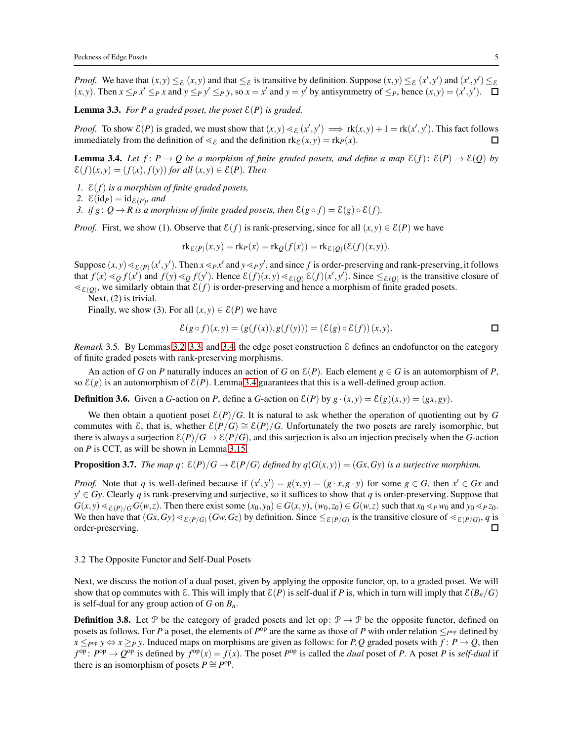*Proof.* We have that  $(x, y) \leq_{\mathcal{E}} (x, y)$  and that  $\leq_{\mathcal{E}}$  is transitive by definition. Suppose  $(x, y) \leq_{\mathcal{E}} (x', y')$  and  $(x', y') \leq_{\mathcal{E}} (x', y')$  $(x, y)$ . Then  $x \leq_P x' \leq_P x$  and  $y \leq_P y' \leq_P y$ , so  $x = x'$  and  $y = y'$  by antisymmetry of  $\leq_P$ , hence  $(x, y) = (x', y')$ .

<span id="page-4-1"></span>**Lemma 3.3.** *For P a graded poset, the poset*  $\mathcal{E}(P)$  *is graded.* 

*Proof.* To show  $\mathcal{E}(P)$  is graded, we must show that  $(x, y) \leq \mathcal{E}(x', y') \implies \text{rk}(x, y) + 1 = \text{rk}(x', y')$ . This fact follows immediately from the definition of  $\leq_{\mathcal{E}}$  and the definition  $rk_{\mathcal{E}}(x,y) = rk_{P}(x)$ . □

<span id="page-4-2"></span>**Lemma 3.4.** Let  $f: P \to Q$  be a morphism of finite graded posets, and define a map  $\mathcal{E}(f): \mathcal{E}(P) \to \mathcal{E}(Q)$  by  $\mathcal{E}(f)(x,y) = (f(x), f(y))$  *for all*  $(x,y) \in \mathcal{E}(P)$ *. Then* 

- *1.* E(*f*) *is a morphism of finite graded posets,*
- 2.  $\mathcal{E}(\text{id}_P) = \text{id}_{\mathcal{E}(P)}$ *, and*

*3. if*  $g: Q \to R$  *is a morphism of finite graded posets, then*  $\mathcal{E}(g \circ f) = \mathcal{E}(g) \circ \mathcal{E}(f)$ *.* 

*Proof.* First, we show (1). Observe that  $\mathcal{E}(f)$  is rank-preserving, since for all  $(x, y) \in \mathcal{E}(P)$  we have

$$
\mathrm{rk}_{\mathcal{E}(P)}(x,y) = \mathrm{rk}_P(x) = \mathrm{rk}_Q(f(x)) = \mathrm{rk}_{\mathcal{E}(Q)}(\mathcal{E}(f)(x,y)).
$$

Suppose  $(x, y) \leq \varepsilon_{(P)}(x', y')$ . Then  $x \leq_P x'$  and  $y \leq_P y'$ , and since f is order-preserving and rank-preserving, it follows that  $f(x) \leq g f(x')$  and  $f(y) \leq g f(y')$ . Hence  $\mathcal{E}(f)(x, y) \leq \mathcal{E}(g)$   $\mathcal{E}(f)(x', y')$ . Since  $\leq_{\mathcal{E}(g)}$  is the transitive closure of  $\leq_{\mathcal{E}(Q)}$ , we similarly obtain that  $\mathcal{E}(f)$  is order-preserving and hence a morphism of finite graded posets.

Next, (2) is trivial.

Finally, we show (3). For all  $(x, y) \in \mathcal{E}(P)$  we have

$$
\mathcal{E}(g \circ f)(x, y) = (g(f(x)), g(f(y))) = (\mathcal{E}(g) \circ \mathcal{E}(f))(x, y).
$$

*Remark* 3.5. By Lemmas [3.2,](#page-3-5) [3.3,](#page-4-1) and [3.4,](#page-4-2) the edge poset construction  $\mathcal E$  defines an endofunctor on the category of finite graded posets with rank-preserving morphisms.

An action of *G* on *P* naturally induces an action of *G* on  $\mathcal{E}(P)$ . Each element  $g \in G$  is an automorphism of *P*, so  $\mathcal{E}(g)$  is an automorphism of  $\mathcal{E}(P)$ . Lemma [3.4](#page-4-2) guarantees that this is a well-defined group action.

**Definition 3.6.** Given a *G*-action on *P*, define a *G*-action on  $\mathcal{E}(P)$  by  $g \cdot (x,y) = \mathcal{E}(g)(x,y) = (gx, gy)$ .

We then obtain a quotient poset  $\mathcal{E}(P)/G$ . It is natural to ask whether the operation of quotienting out by G commutes with E, that is, whether  $\mathcal{E}(P/G) \cong \mathcal{E}(P)/G$ . Unfortunately the two posets are rarely isomorphic, but there is always a surjection  $\mathcal{E}(P)/G \to \mathcal{E}(P/G)$ , and this surjection is also an injection precisely when the *G*-action on *P* is CCT, as will be shown in Lemma [3.15.](#page-6-2)

## <span id="page-4-3"></span>**Proposition 3.7.** *The map q*:  $\mathcal{E}(P)/G \to \mathcal{E}(P/G)$  *defined by*  $q(G(x,y)) = (Gx,Gy)$  *is a surjective morphism.*

*Proof.* Note that *q* is well-defined because if  $(x', y') = g(x, y) = (g \cdot x, g \cdot y)$  for some  $g \in G$ , then  $x' \in Gx$  and  $y' \in G$ y. Clearly *q* is rank-preserving and surjective, so it suffices to show that *q* is order-preserving. Suppose that  $G(x, y) \leq_{\mathcal{E}(P)/G} G(w, z)$ . Then there exist some  $(x_0, y_0) \in G(x, y)$ ,  $(w_0, z_0) \in G(w, z)$  such that  $x_0 \leq_{P} w_0$  and  $y_0 \leq_{P} z_0$ . We then have that  $(Gx, Gy) \leq_{E(P/G)} (Gw, Gz)$  by definition. Since  $\leq_{E(P/G)}$  is the transitive closure of  $\leq_{E(P/G)} q$  is order-preserving. 口

#### <span id="page-4-0"></span>3.2 The Opposite Functor and Self-Dual Posets

Next, we discuss the notion of a dual poset, given by applying the opposite functor, op, to a graded poset. We will show that op commutes with  $\mathcal{E}$ . This will imply that  $\mathcal{E}(P)$  is self-dual if P is, which in turn will imply that  $\mathcal{E}(B_n/G)$ is self-dual for any group action of *G* on *Bn*.

**Definition 3.8.** Let P be the category of graded posets and let op:  $\mathcal{P} \to \mathcal{P}$  be the opposite functor, defined on posets as follows. For *P* a poset, the elements of  $P^{op}$  are the same as those of *P* with order relation  $\leq_{P^{op}}$  defined by  $x \leq_{P^{\text{op}}} y \Leftrightarrow x \geq_{P} y$ . Induced maps on morphisms are given as follows: for *P*, *Q* graded posets with  $f: P \to Q$ , then  $f^{op}$ :  $P^{op} \to Q^{op}$  is defined by  $f^{op}(x) = f(x)$ . The poset  $P^{op}$  is called the *dual* poset of *P*. A poset *P* is *self-dual* if there is an isomorphism of posets  $P \cong P^{\text{op}}$ .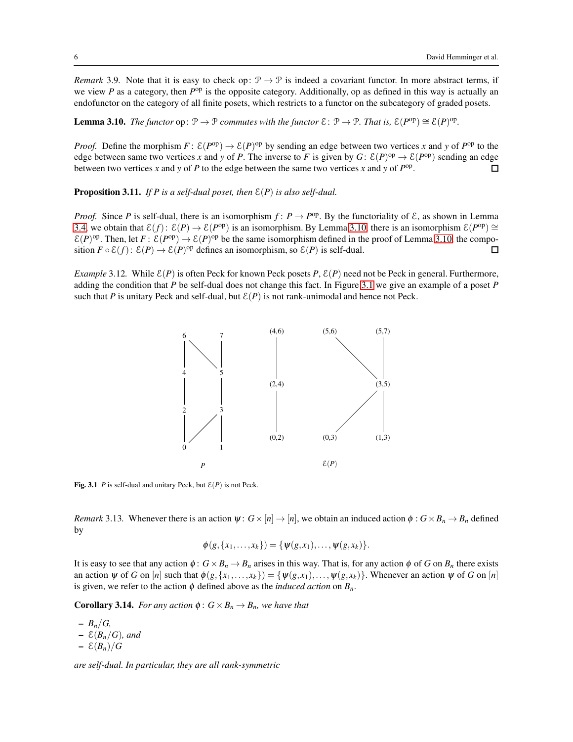*Remark* 3.9. Note that it is easy to check op:  $\mathcal{P} \to \mathcal{P}$  is indeed a covariant functor. In more abstract terms, if we view *P* as a category, then *P*<sup>op</sup> is the opposite category. Additionally, op as defined in this way is actually an endofunctor on the category of all finite posets, which restricts to a functor on the subcategory of graded posets.

<span id="page-5-0"></span>**Lemma 3.10.** *The functor*  $op: \mathcal{P} \to \mathcal{P}$  *commutes with the functor*  $\mathcal{E}: \mathcal{P} \to \mathcal{P}$ *. That is,*  $\mathcal{E}(P^{op}) \cong \mathcal{E}(P)^{op}$ *.* 

*Proof.* Define the morphism  $F: E(P^{op}) \to E(P)^{op}$  by sending an edge between two vertices *x* and *y* of  $P^{op}$  to the edge between same two vertices *x* and *y* of *P*. The inverse to *F* is given by  $G: E(P)^{op} \to E(P^{op})$  sending an edge between two vertices *x* and *y* of *P* to the edge between the same two vertices *x* and *y* of  $P^{\text{op}}$ .  $\Box$ 

<span id="page-5-2"></span>Proposition 3.11. *If P is a self-dual poset, then* E(*P*) *is also self-dual.*

*Proof.* Since *P* is self-dual, there is an isomorphism  $f: P \to P^{op}$ . By the functoriality of  $\mathcal{E}$ , as shown in Lemma [3.4,](#page-4-2) we obtain that  $\mathcal{E}(f)$ :  $\mathcal{E}(P) \to \mathcal{E}(P^{\text{op}})$  is an isomorphism. By Lemma [3.10,](#page-5-0) there is an isomorphism  $\mathcal{E}(P^{\text{op}}) \cong$  $\mathcal{E}(P)$ <sup>op</sup>. Then, let  $F: \mathcal{E}(P^{op}) \to \mathcal{E}(P)^{op}$  be the same isomorphism defined in the proof of Lemma [3.10,](#page-5-0) the composition  $F \circ \mathcal{E}(f)$ :  $\mathcal{E}(P) \to \mathcal{E}(P)$ <sup>op</sup> defines an isomorphism, so  $\mathcal{E}(P)$  is self-dual.  $\Box$ 

*Example* 3.12*.* While  $\mathcal{E}(P)$  is often Peck for known Peck posets P,  $\mathcal{E}(P)$  need not be Peck in general. Furthermore, adding the condition that *P* be self-dual does not change this fact. In Figure [3.1](#page-12-0) we give an example of a poset *P* such that *P* is unitary Peck and self-dual, but  $\mathcal{E}(P)$  is not rank-unimodal and hence not Peck.



Fig. 3.1 *P* is self-dual and unitary Peck, but  $E(P)$  is not Peck.

<span id="page-5-1"></span>*Remark* 3.13. Whenever there is an action  $\psi: G \times [n] \to [n]$ , we obtain an induced action  $\phi: G \times B_n \to B_n$  defined by

$$
\phi(g, \{x_1, \ldots, x_k\}) = \{\psi(g, x_1), \ldots, \psi(g, x_k)\}.
$$

It is easy to see that any action  $\phi : G \times B_n \to B_n$  arises in this way. That is, for any action  $\phi$  of *G* on  $B_n$  there exists an action  $\psi$  of *G* on [*n*] such that  $\phi(g, \{x_1, \ldots, x_k\}) = \{\psi(g, x_1), \ldots, \psi(g, x_k)\}\.$  Whenever an action  $\psi$  of *G* on [*n*] is given, we refer to the action  $\phi$  defined above as the *induced action* on  $B_n$ .

**Corollary 3.14.** *For any action*  $\phi$ :  $G \times B_n \rightarrow B_n$ *, we have that* 

 $- B_n/G$  $- \mathcal{E}(B_n/G)$ *, and*  $- \mathcal{E}(B_n)/G$ 

*are self-dual. In particular, they are all rank-symmetric*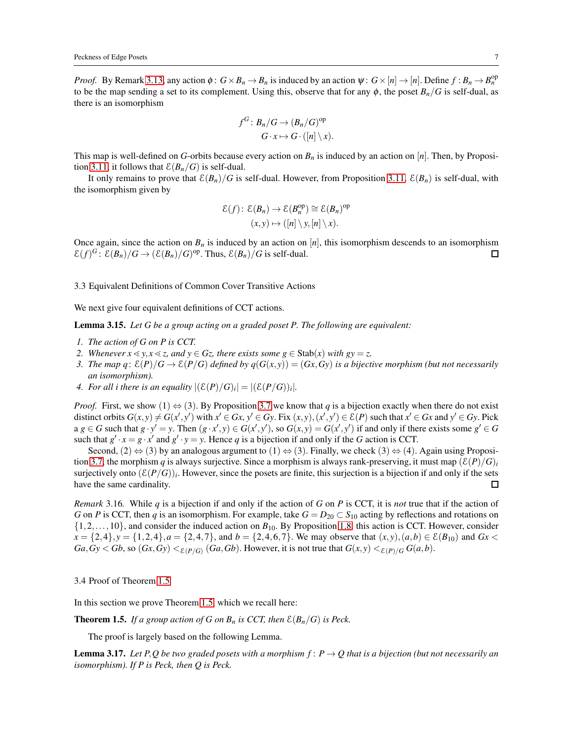*Proof.* By Remark [3.13,](#page-5-1) any action  $\phi$ :  $G \times B_n \to B_n$  is induced by an action  $\psi$ :  $G \times [n] \to [n]$ . Define  $f : B_n \to B_n^{\text{op}}$ to be the map sending a set to its complement. Using this, observe that for any  $\phi$ , the poset  $B_n/G$  is self-dual, as there is an isomorphism

$$
f^{G} : B_{n}/G \to (B_{n}/G)^{\text{op}} G \cdot x \mapsto G \cdot ([n] \setminus x).
$$

This map is well-defined on *G*-orbits because every action on  $B_n$  is induced by an action on [*n*]. Then, by Proposi-tion [3.11,](#page-5-2) it follows that  $\mathcal{E}(B_n/G)$  is self-dual.

It only remains to prove that  $\mathcal{E}(B_n)/G$  is self-dual. However, from Proposition [3.11,](#page-5-2)  $\mathcal{E}(B_n)$  is self-dual, with the isomorphism given by

$$
\mathcal{E}(f): \mathcal{E}(B_n) \to \mathcal{E}(B_n^{\text{op}}) \cong \mathcal{E}(B_n)^{\text{op}}
$$

$$
(x, y) \mapsto ([n] \setminus y, [n] \setminus x).
$$

Once again, since the action on  $B_n$  is induced by an action on  $[n]$ , this isomorphism descends to an isomorphism  $\mathcal{E}(f)^G$ :  $\mathcal{E}(B_n)/G \to (\mathcal{E}(B_n)/G)^{op}$ . Thus,  $\mathcal{E}(B_n)/G$  is self-dual.  $\Box$ 

#### <span id="page-6-0"></span>3.3 Equivalent Definitions of Common Cover Transitive Actions

We next give four equivalent definitions of CCT actions.

<span id="page-6-2"></span>Lemma 3.15. *Let G be a group acting on a graded poset P. The following are equivalent:*

- *1. The action of G on P is CCT.*
- 2. Whenever  $x \le y$ ,  $x \le z$ , and  $y \in Gz$ , there exists some  $g \in \text{Stab}(x)$  with  $gy = z$ .
- *3. The map q*:  $\mathcal{E}(P)/G \to \mathcal{E}(P/G)$  *defined by q*( $G(x, y)$ ) = ( $Gx, Gy$ ) *is a bijective morphism (but not necessarily an isomorphism).*
- *4. For all i there is an equality*  $|(\mathcal{E}(P)/G)_i| = |(\mathcal{E}(P/G))_i|$ .

*Proof.* First, we show (1)  $\Leftrightarrow$  (3). By Proposition [3.7](#page-4-3) we know that *q* is a bijection exactly when there do not exist distinct orbits  $G(x, y) \neq G(x', y')$  with  $x' \in Gx$ ,  $y' \in Gy$ . Fix  $(x, y), (x', y') \in \mathcal{E}(P)$  such that  $x' \in Gx$  and  $y' \in Gy$ . Pick  $a g \in G$  such that  $g \cdot y' = y$ . Then  $(g \cdot x', y) \in G(x', y')$ , so  $G(x, y) = G(x', y')$  if and only if there exists some  $g' \in G$ such that  $g' \cdot x = g \cdot x'$  and  $g' \cdot y = y$ . Hence *q* is a bijection if and only if the *G* action is CCT.

Second,  $(2) \Leftrightarrow (3)$  by an analogous argument to  $(1) \Leftrightarrow (3)$ . Finally, we check  $(3) \Leftrightarrow (4)$ . Again using Proposi-tion [3.7,](#page-4-3) the morphism *q* is always surjective. Since a morphism is always rank-preserving, it must map  $(\mathcal{E}(P)/G)$ *i* surjectively onto  $(\mathcal{E}(P/G))_i$ . However, since the posets are finite, this surjection is a bijection if and only if the sets have the same cardinality. П

*Remark* 3.16*.* While *q* is a bijection if and only if the action of *G* on *P* is CCT, it is *not* true that if the action of *G* on *P* is CCT, then *q* is an isomorphism. For example, take  $G = D_{20} \subset S_{10}$  acting by reflections and rotations on  $\{1,2,\ldots,10\}$ , and consider the induced action on  $B_{10}$ . By Proposition [1.8,](#page-2-3) this action is CCT. However, consider *x* = {2,4},*y* = {1,2,4},*a* = {2,4,7}, and *b* = {2,4,6,7}. We may observe that  $(x, y)$ ,  $(a, b) \in \mathcal{E}(B_{10})$  and *Gx* <  $Ga, Gy < Gb$ , so  $(Gx, Gy) <_{\mathcal{E}(P/G)} (Ga, Gb)$ . However, it is not true that  $G(x, y) <_{\mathcal{E}(P)/G} G(a, b)$ .

<span id="page-6-1"></span>3.4 Proof of Theorem [1.5](#page-2-2)

In this section we prove Theorem [1.5,](#page-2-2) which we recall here:

**Theorem 1.5.** *If a group action of G on B<sub>n</sub> is CCT, then*  $\mathcal{E}(B_n/G)$  *is Peck.* 

The proof is largely based on the following Lemma.

<span id="page-6-3"></span>**Lemma 3.17.** Let P, Q be two graded posets with a morphism  $f: P \rightarrow Q$  that is a bijection (but not necessarily an *isomorphism). If P is Peck, then Q is Peck.*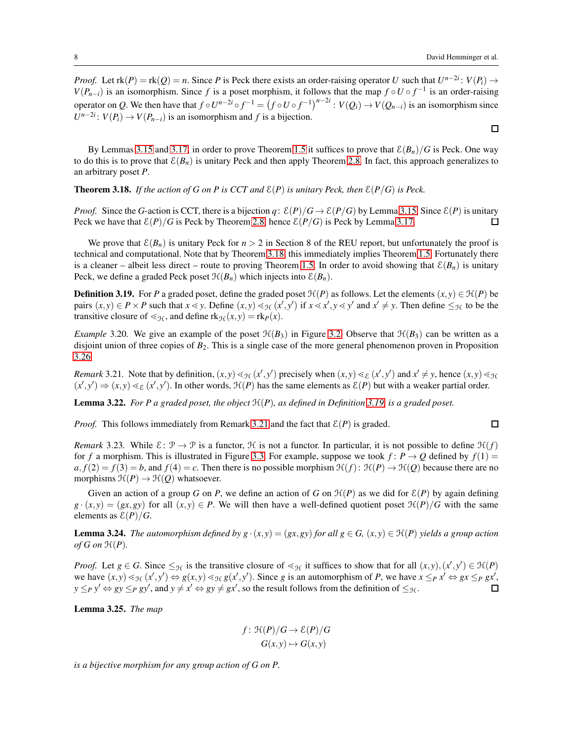$\Box$ 

 $\Box$ 

*Proof.* Let  $rk(P) = rk(Q) = n$ . Since *P* is Peck there exists an order-raising operator *U* such that  $U^{n-2i}$ :  $V(P_i) \rightarrow$ *V*( $P_{n-i}$ ) is an isomorphism. Since *f* is a poset morphism, it follows that the map  $f \circ U \circ f^{-1}$  is an order-raising operator on Q. We then have that  $f \circ U^{n-2i} \circ f^{-1} = (f \circ U \circ f^{-1})^{n-2i} : V(Q_i) \to V(Q_{n-i})$  is an isomorphism since  $U^{n-2i}$ :  $V(P_i) \rightarrow V(P_{n-i})$  is an isomorphism and *f* is a bijection.

By Lemmas [3.15](#page-6-2) and [3.17,](#page-6-3) in order to prove Theorem [1.5](#page-2-2) it suffices to prove that  $\mathcal{E}(B_n)/G$  is Peck. One way to do this is to prove that  $\mathcal{E}(B_n)$  is unitary Peck and then apply Theorem [2.8.](#page-3-2) In fact, this approach generalizes to an arbitrary poset *P*.

<span id="page-7-0"></span>**Theorem 3.18.** *If the action of G on P is CCT and*  $\mathcal{E}(P)$  *is unitary Peck, then*  $\mathcal{E}(P/G)$  *is Peck.* 

*Proof.* Since the *G*-action is CCT, there is a bijection *q*:  $\mathcal{E}(P)/G \to \mathcal{E}(P/G)$  by Lemma [3.15.](#page-6-2) Since  $\mathcal{E}(P)$  is unitary Peck we have that  $\mathcal{E}(P)/G$  is Peck by Theorem [2.8,](#page-3-2) hence  $\mathcal{E}(P/G)$  is Peck by Lemma [3.17.](#page-6-3)  $\Box$ 

We prove that  $\mathcal{E}(B_n)$  is unitary Peck for  $n > 2$  in Section 8 of the REU report, but unfortunately the proof is technical and computational. Note that by Theorem [3.18,](#page-7-0) this immediately implies Theorem [1.5.](#page-2-2) Fortunately there is a cleaner – albeit less direct – route to proving Theorem [1.5.](#page-2-2) In order to avoid showing that  $\mathcal{E}(B_n)$  is unitary Peck, we define a graded Peck poset  $\mathcal{H}(B_n)$  which injects into  $\mathcal{E}(B_n)$ .

<span id="page-7-1"></span>**Definition 3.19.** For *P* a graded poset, define the graded poset  $\mathcal{H}(P)$  as follows. Let the elements  $(x, y) \in \mathcal{H}(P)$  be pairs  $(x, y) \in P \times P$  such that  $x \le y$ . Define  $(x, y) \le y \le (x', y')$  if  $x \le x', y \le y'$  and  $x' \ne y$ . Then define  $\le y \le y$  to be the transitive closure of  $\leq_{\mathcal{H}}$ , and define  $\text{rk}_{\mathcal{H}}(x,y) = \text{rk}_P(x)$ .

<span id="page-7-3"></span>*Example* 3.20*.* We give an example of the poset  $\mathcal{H}(B_3)$  in Figure [3.2.](#page-12-1) Observe that  $\mathcal{H}(B_3)$  can be written as a disjoint union of three copies of *B*2. This is a single case of the more general phenomenon proven in Proposition [3.26.](#page-8-0)

<span id="page-7-2"></span>*Remark* 3.21. Note that by definition,  $(x, y) \leq_{\mathcal{H}} (x', y')$  precisely when  $(x, y) \leq_{\mathcal{E}} (x', y')$  and  $x' \neq y$ , hence  $(x, y) \leq_{\mathcal{H}} (x', y')$  $(x', y') \Rightarrow (x, y) \leq \varepsilon$   $(x', y')$ . In other words,  $\mathcal{H}(P)$  has the same elements as  $\mathcal{E}(P)$  but with a weaker partial order.

Lemma 3.22. *For P a graded poset, the object* H(*P*)*, as defined in Definition [3.19,](#page-7-1) is a graded poset.*

*Proof.* This follows immediately from Remark [3.21](#page-7-2) and the fact that  $\mathcal{E}(P)$  is graded.

*Remark* 3.23. While  $\mathcal{E}: \mathcal{P} \to \mathcal{P}$  is a functor,  $\mathcal{H}$  is not a functor. In particular, it is not possible to define  $\mathcal{H}(f)$ for *f* a morphism. This is illustrated in Figure [3.3.](#page-8-1) For example, suppose we took  $f: P \to Q$  defined by  $f(1) =$  $a, f(2) = f(3) = b$ , and  $f(4) = c$ . Then there is no possible morphism  $\mathcal{H}(f)$ :  $\mathcal{H}(P) \to \mathcal{H}(Q)$  because there are no morphisms  $\mathcal{H}(P) \to \mathcal{H}(Q)$  whatsoever.

Given an action of a group *G* on *P*, we define an action of *G* on  $\mathcal{H}(P)$  as we did for  $\mathcal{E}(P)$  by again defining  $g \cdot (x,y) = (gx, gy)$  for all  $(x,y) \in P$ . We will then have a well-defined quotient poset  $\mathcal{H}(P)/G$  with the same elements as  $\mathcal{E}(P)/G$ .

**Lemma 3.24.** *The automorphism defined by g* ·  $(x, y) = (gx, gy)$  *for all*  $g \in G$ ,  $(x, y) \in \mathcal{H}(P)$  yields a group action *of*  $G$  *on*  $\mathcal{H}(P)$ *.* 

*Proof.* Let  $g \in G$ . Since  $\leq_{\mathcal{H}}$  is the transitive closure of  $\leq_{\mathcal{H}}$  it suffices to show that for all  $(x, y), (x', y') \in \mathcal{H}(P)$ we have  $(x, y) \leq_{\mathcal{H}} (x', y') \Leftrightarrow g(x, y) \leq_{\mathcal{H}} g(x', y')$ . Since g is an automorphism of P, we have  $x \leq_P x' \Leftrightarrow gx \leq_P gx'$ ,  $y \leq_P y' \Leftrightarrow gy \leq_P gy'$ , and  $y \neq x' \Leftrightarrow gy \neq gx'$ , so the result follows from the definition of  $\leq_{\mathcal{H}}$ .  $\Box$ 

<span id="page-7-4"></span>Lemma 3.25. *The map*

$$
f: \mathcal{H}(P)/G \to \mathcal{E}(P)/G
$$

$$
G(x, y) \mapsto G(x, y)
$$

*is a bijective morphism for any group action of G on P.*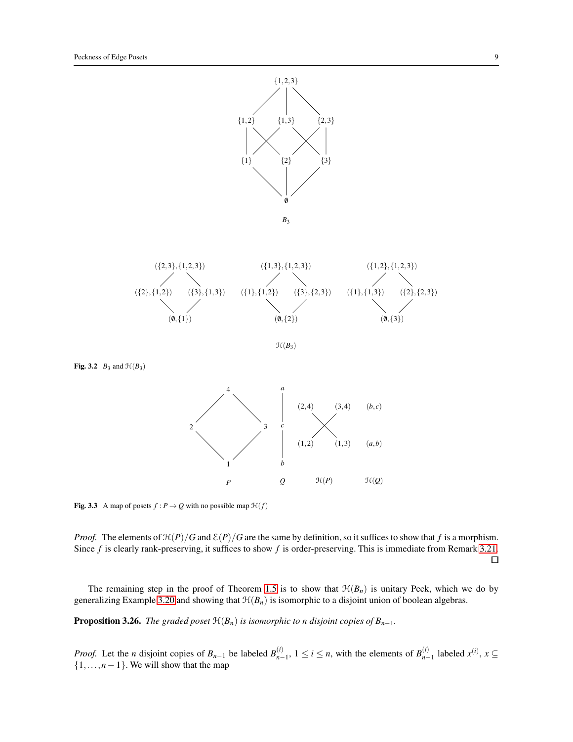



H(*B*3)

Fig. 3.2 *B*<sub>3</sub> and  $\mathcal{H}(B_3)$ 



<span id="page-8-1"></span>**Fig. 3.3** A map of posets  $f : P \to Q$  with no possible map  $\mathcal{H}(f)$ 

*Proof.* The elements of  $\mathcal{H}(P)/G$  and  $\mathcal{E}(P)/G$  are the same by definition, so it suffices to show that *f* is a morphism. Since *f* is clearly rank-preserving, it suffices to show *f* is order-preserving. This is immediate from Remark [3.21.](#page-7-2)

 $\Box$ 

The remaining step in the proof of Theorem [1.5](#page-2-2) is to show that  $\mathcal{H}(B_n)$  is unitary Peck, which we do by generalizing Example [3.20](#page-7-3) and showing that  $\mathcal{H}(B_n)$  is isomorphic to a disjoint union of boolean algebras.

<span id="page-8-0"></span>**Proposition 3.26.** *The graded poset*  $\mathcal{H}(B_n)$  *is isomorphic to n disjoint copies of*  $B_{n-1}$ *.* 

*Proof.* Let the *n* disjoint copies of  $B_{n-1}$  be labeled  $B_{n-1}^{(i)}$  $n-1$ , 1 ≤ *i* ≤ *n*, with the elements of *B*<sup>(*i*)</sup><sub>*n*−</sub>  $\sum_{n=1}^{(i)}$  labeled  $x^{(i)}$ ,  $x \subseteq$  $\{1,\ldots,n-1\}$ . We will show that the map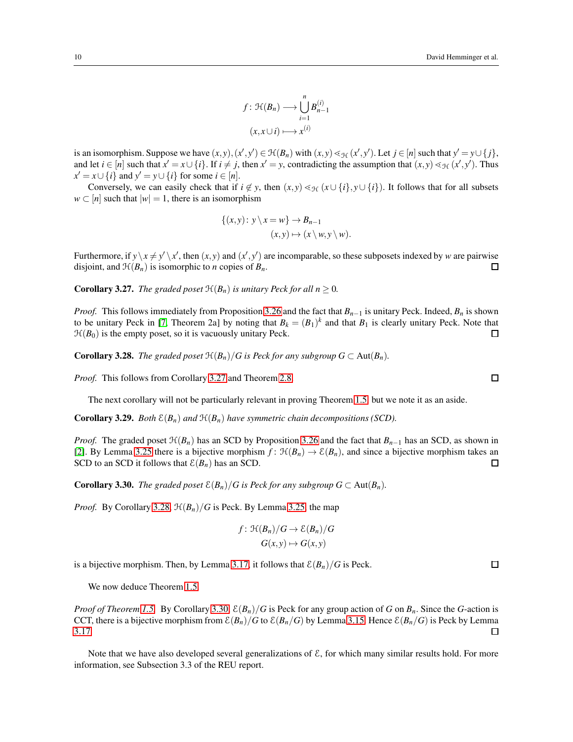$$
f: \mathfrak{H}(B_n) \longrightarrow \bigcup_{i=1}^n B_{n-1}^{(i)}
$$

$$
(x, x \cup i) \longmapsto x^{(i)}
$$

is an isomorphism. Suppose we have  $(x, y), (x', y') \in H(B_n)$  with  $(x, y) \leq y$   $(x', y')$ . Let  $j \in [n]$  such that  $y' = y \cup \{j\}$ , and let  $i \in [n]$  such that  $x' = x \cup \{i\}$ . If  $i \neq j$ , then  $x' = y$ , contradicting the assumption that  $(x, y) \leq y_t (x', y')$ . Thus  $x' = x \cup \{i\}$  and  $y' = y \cup \{i\}$  for some  $i \in [n]$ .

Conversely, we can easily check that if  $i \notin y$ , then  $(x, y) \leq_{\mathcal{H}} (x \cup \{i\}, y \cup \{i\})$ . It follows that for all subsets  $w \subset [n]$  such that  $|w| = 1$ , there is an isomorphism

$$
\{(x,y): y \setminus x = w\} \to B_{n-1}
$$
  

$$
(x,y) \mapsto (x \setminus w, y \setminus w).
$$

Furthermore, if  $y \ x \neq y' \ x'$ , then  $(x, y)$  and  $(x', y')$  are incomparable, so these subposets indexed by *w* are pairwise disjoint, and  $\mathcal{H}(B_n)$  is isomorphic to *n* copies of  $B_n$ . □

<span id="page-9-0"></span>**Corollary 3.27.** *The graded poset*  $\mathcal{H}(B_n)$  *is unitary Peck for all n*  $\geq$  0*.* 

*Proof.* This follows immediately from Proposition [3.26](#page-8-0) and the fact that  $B_{n-1}$  is unitary Peck. Indeed,  $B_n$  is shown to be unitary Peck in [\[7,](#page-17-0) Theorem 2a] by noting that  $B_k = (B_1)^k$  and that  $B_1$  is clearly unitary Peck. Note that  $\mathcal{H}(B_0)$  is the empty poset, so it is vacuously unitary Peck.  $\Box$ 

<span id="page-9-1"></span>**Corollary 3.28.** *The graded poset*  $\mathcal{H}(B_n)/G$  *is Peck for any subgroup*  $G \subset \text{Aut}(B_n)$ *.* 

*Proof.* This follows from Corollary [3.27](#page-9-0) and Theorem [2.8.](#page-3-2)

The next corollary will not be particularly relevant in proving Theorem [1.5,](#page-2-2) but we note it as an aside.

**Corollary 3.29.** *Both*  $\mathcal{E}(B_n)$  *and*  $\mathcal{H}(B_n)$  *have symmetric chain decompositions (SCD).* 

*Proof.* The graded poset  $\mathcal{H}(B_n)$  has an SCD by Proposition [3.26](#page-8-0) and the fact that  $B_{n-1}$  has an SCD, as shown in [\[2\]](#page-17-5). By Lemma [3.25](#page-7-4) there is a bijective morphism  $f: \mathcal{H}(B_n) \to \mathcal{E}(B_n)$ , and since a bijective morphism takes an SCD to an SCD it follows that  $\mathcal{E}(B_n)$  has an SCD.  $\Box$ 

<span id="page-9-2"></span>**Corollary 3.30.** *The graded poset*  $\mathcal{E}(B_n)/G$  *is Peck for any subgroup*  $G \subset \text{Aut}(B_n)$ *.* 

*Proof.* By Corollary [3.28,](#page-9-1)  $\mathcal{H}(B_n)/G$  is Peck. By Lemma [3.25,](#page-7-4) the map

$$
f: \mathfrak{H}(B_n)/G \to \mathcal{E}(B_n)/G
$$

$$
G(x, y) \mapsto G(x, y)
$$

is a bijective morphism. Then, by Lemma [3.17,](#page-6-3) it follows that  $\mathcal{E}(B_n)/G$  is Peck.

We now deduce Theorem [1.5.](#page-2-2)

*Proof of Theorem [1.5.](#page-2-2)* By Corollary [3.30,](#page-9-2)  $\mathcal{E}(B_n)/G$  is Peck for any group action of *G* on  $B_n$ . Since the *G*-action is CCT, there is a bijective morphism from  $\mathcal{E}(B_n)/G$  to  $\mathcal{E}(B_n/G)$  by Lemma [3.15.](#page-6-2) Hence  $\mathcal{E}(B_n/G)$  is Peck by Lemma [3.17.](#page-6-3) □

Note that we have also developed several generalizations of  $\mathcal{E}$ , for which many similar results hold. For more information, see Subsection 3.3 of the REU report.

 $\Box$ 

 $\Box$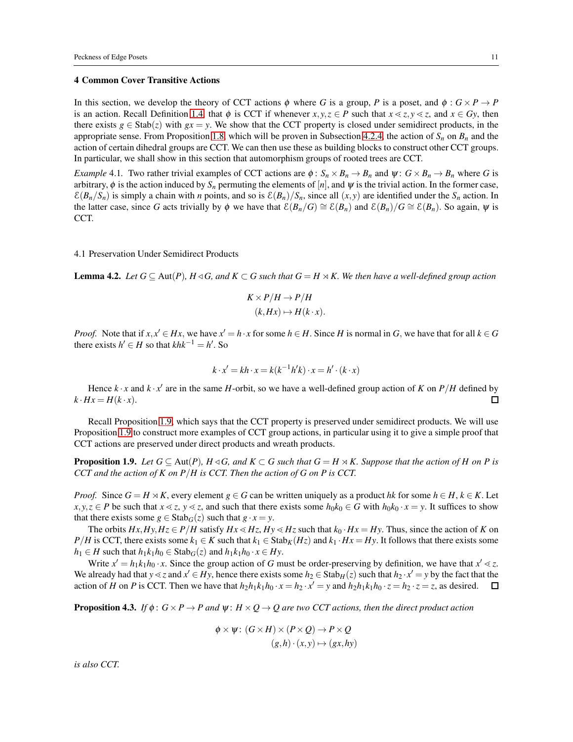#### <span id="page-10-0"></span>4 Common Cover Transitive Actions

In this section, we develop the theory of CCT actions  $\phi$  where *G* is a group, *P* is a poset, and  $\phi : G \times P \to P$ is an action. Recall Definition [1.4,](#page-2-5) that  $\phi$  is CCT if whenever  $x, y, z \in P$  such that  $x \le z, y \le z$ , and  $x \in Gy$ , then there exists  $g \in \text{Stab}(z)$  with  $gx = y$ . We show that the CCT property is closed under semidirect products, in the appropriate sense. From Proposition [1.8,](#page-2-3) which will be proven in Subsection [4.2.4,](#page-14-0) the action of  $S_n$  on  $B_n$  and the action of certain dihedral groups are CCT. We can then use these as building blocks to construct other CCT groups. In particular, we shall show in this section that automorphism groups of rooted trees are CCT.

<span id="page-10-2"></span>*Example* 4.1. Two rather trivial examples of CCT actions are  $\phi$ :  $S_n \times B_n \to B_n$  and  $\psi$ :  $G \times B_n \to B_n$  where *G* is arbitrary,  $\phi$  is the action induced by  $S_n$  permuting the elements of [*n*], and  $\psi$  is the trivial action. In the former case,  $\mathcal{E}(B_n/S_n)$  is simply a chain with *n* points, and so is  $\mathcal{E}(B_n)/S_n$ , since all  $(x, y)$  are identified under the  $S_n$  action. In the latter case, since *G* acts trivially by  $\phi$  we have that  $\mathcal{E}(B_n/G) \cong \mathcal{E}(B_n)$  and  $\mathcal{E}(B_n)/G \cong \mathcal{E}(B_n)$ . So again,  $\psi$  is CCT.

#### 4.1 Preservation Under Semidirect Products

**Lemma 4.2.** Let  $G \subseteq Aut(P)$ ,  $H \triangleleft G$ , and  $K \subset G$  such that  $G = H \rtimes K$ . We then have a well-defined group action

$$
K \times P/H \to P/H
$$
  

$$
(k, Hx) \mapsto H(k \cdot x).
$$

*Proof.* Note that if  $x, x' \in Hx$ , we have  $x' = h \cdot x$  for some  $h \in H$ . Since *H* is normal in *G*, we have that for all  $k \in G$ there exists  $h' \in H$  so that  $khk^{-1} = h'$ . So

$$
k \cdot x' = kh \cdot x = k(k^{-1}h'k) \cdot x = h' \cdot (k \cdot x)
$$

Hence  $k \cdot x$  and  $k \cdot x'$  are in the same *H*-orbit, so we have a well-defined group action of *K* on *P*/*H* defined by  $k \cdot Hx = H(k \cdot x)$ . 口

Recall Proposition [1.9,](#page-2-4) which says that the CCT property is preserved under semidirect products. We will use Proposition [1.9](#page-2-4) to construct more examples of CCT group actions, in particular using it to give a simple proof that CCT actions are preserved under direct products and wreath products.

**Proposition 1.9.** *Let*  $G \subseteq \text{Aut}(P)$ *,*  $H \triangleleft G$ *, and*  $K \subset G$  *such that*  $G = H \rtimes K$ *. Suppose that the action of H on P is CCT and the action of K on P*/*H is CCT. Then the action of G on P is CCT.*

*Proof.* Since  $G = H \rtimes K$ , every element  $g \in G$  can be written uniquely as a product *hk* for some  $h \in H$ ,  $k \in K$ . Let *x*, *y*, *z* ∈ *P* be such that *x* < *z*, *y* < *z*, and such that there exists some *h*<sub>0</sub>*k*<sub>0</sub> ∈ *G* with *h*<sub>0</sub>*k*<sub>0</sub> · *x* = *y*. It suffices to show that there exists some  $g \in \text{Stab}_G(z)$  such that  $g \cdot x = y$ .

The orbits  $Hx$ ,  $Hy$ ,  $Hz \in P/H$  satisfy  $Hx \ll Hz$ ,  $Hy \ll Hz$  such that  $k_0 \cdot Hx = Hy$ . Thus, since the action of *K* on  $P/H$  is CCT, there exists some  $k_1 \in K$  such that  $k_1 \in \text{Stab}_K(Hz)$  and  $k_1 \cdot Hx = Hy$ . It follows that there exists some *h*<sub>1</sub> ∈ *H* such that  $h_1k_1h_0$  ∈ Stab<sub>*G*</sub>(*z*) and  $h_1k_1h_0 \cdot x \in Hy$ .

Write  $x' = h_1 k_1 h_0 \cdot x$ . Since the group action of *G* must be order-preserving by definition, we have that  $x' \le z$ . We already had that  $y \le z$  and  $x' \in Hy$ , hence there exists some  $h_2 \in \text{Stab}_H(z)$  such that  $h_2 \cdot x' = y$  by the fact that the action of H on P is CCT. Then we have that  $h_2h_1k_1h_0 \cdot x = h_2 \cdot x' = y$  and  $h_2h_1k_1h_0 \cdot z = h_2 \cdot z = z$ , as desired.

<span id="page-10-1"></span>**Proposition 4.3.** *If*  $\phi$ :  $G \times P \to P$  and  $\psi$ :  $H \times Q \to Q$  are two CCT actions, then the direct product action

$$
\phi \times \psi \colon (G \times H) \times (P \times Q) \to P \times Q
$$
  

$$
(g, h) \cdot (x, y) \mapsto (gx, hy)
$$

*is also CCT.*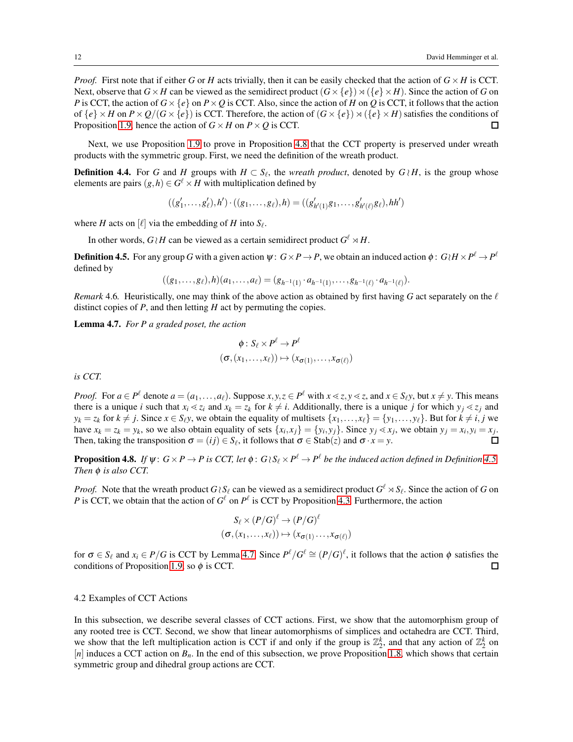*Proof.* First note that if either *G* or *H* acts trivially, then it can be easily checked that the action of  $G \times H$  is CCT. Next, observe that  $G \times H$  can be viewed as the semidirect product  $(G \times \{e\}) \rtimes (\{e\} \times H)$ . Since the action of *G* on *P* is CCT, the action of  $G \times \{e\}$  on  $P \times Q$  is CCT. Also, since the action of *H* on *Q* is CCT, it follows that the action of  ${e} \times H$  on  $P \times Q/(G \times {e})$  is CCT. Therefore, the action of  $(G \times {e}) \rtimes ({e} \times H)$  satisfies the conditions of Proposition [1.9,](#page-2-4) hence the action of  $G \times H$  on  $P \times Q$  is CCT.  $\Box$ 

Next, we use Proposition [1.9](#page-2-4) to prove in Proposition [4.8](#page-11-1) that the CCT property is preserved under wreath products with the symmetric group. First, we need the definition of the wreath product.

**Definition 4.4.** For *G* and *H* groups with  $H \subset S_\ell$ , the *wreath product*, denoted by  $G \wr H$ , is the group whose elements are pairs  $(g,h) \in G^{\ell} \times H$  with multiplication defined by

$$
((g'_1,\ldots,g'_\ell),h')\cdot ((g_1,\ldots,g_\ell),h)=((g'_{h'(1)}g_1,\ldots,g'_{h'(\ell)}g_\ell),hh')
$$

where *H* acts on  $[\ell]$  via the embedding of *H* into  $S_{\ell}$ .

In other words,  $G \wr H$  can be viewed as a certain semidirect product  $G^{\ell} \rtimes H$ .

<span id="page-11-2"></span>**Definition 4.5.** For any group  $G$  with a given action  $\psi: G \times P \to P$ , we obtain an induced action  $\phi: G \wr H \times P^\ell \to P^\ell$ defined by

$$
((g_1,\ldots,g_\ell),h)(a_1,\ldots,a_\ell)=(g_{h^{-1}(1)}\cdot a_{h^{-1}(1)},\ldots,g_{h^{-1}(\ell)}\cdot a_{h^{-1}(\ell)}).
$$

*Remark* 4.6. Heuristically, one may think of the above action as obtained by first having *G* act separately on the  $\ell$ distinct copies of *P*, and then letting *H* act by permuting the copies.

<span id="page-11-3"></span>Lemma 4.7. *For P a graded poset, the action*

$$
\phi: S_{\ell} \times P^{\ell} \to P^{\ell}
$$

$$
(\sigma, (x_1, \ldots, x_{\ell})) \mapsto (x_{\sigma(1)}, \ldots, x_{\sigma(\ell)})
$$

*is CCT.*

*Proof.* For  $a \in P^{\ell}$  denote  $a = (a_1, ..., a_{\ell})$ . Suppose  $x, y, z \in P^{\ell}$  with  $x \le z, y \le z$ , and  $x \in S_{\ell}y$ , but  $x \ne y$ . This means there is a unique *i* such that  $x_i \le z_i$  and  $x_k = z_k$  for  $k \ne i$ . Additionally, there is a unique *j* for which  $y_j \le z_j$  and  $y_k = z_k$  for  $k \neq j$ . Since  $x \in S_\ell y$ , we obtain the equality of multisets  $\{x_1, \ldots, x_\ell\} = \{y_1, \ldots, y_\ell\}$ . But for  $k \neq i, j$  we have  $x_k = z_k = y_k$ , so we also obtain equality of sets  $\{x_i, x_j\} = \{y_i, y_j\}$ . Since  $y_j \le x_j$ , we obtain  $y_j = x_i, y_i = x_j$ . Then, taking the transposition  $\sigma = (ij) \in S_{\ell}$ , it follows that  $\sigma \in \text{Stab}(z)$  and  $\sigma \cdot x = y$ .  $\Box$ 

<span id="page-11-1"></span>**Proposition 4.8.** If  $\psi$  :  $G\times P\to P$  is CCT, let  $\phi$  :  $G\wr S_\ell\times P^\ell\to P^\ell$  be the induced action defined in Definition [4.5.](#page-11-2) *Then*  $\phi$  *is also CCT.* 

*Proof.* Note that the wreath product  $G \wr S_\ell$  can be viewed as a semidirect product  $G^{\ell} \rtimes S_\ell$ . Since the action of *G* on *P* is CCT, we obtain that the action of  $G^{\ell}$  on  $P^{\ell}$  is CCT by Proposition [4.3.](#page-10-1) Furthermore, the action

$$
S_{\ell} \times (P/G)^{\ell} \to (P/G)^{\ell}
$$

$$
(\sigma, (x_1, \ldots, x_{\ell})) \mapsto (x_{\sigma(1)} \ldots, x_{\sigma(\ell)})
$$

for  $\sigma \in S_\ell$  and  $x_i \in P/G$  is CCT by Lemma [4.7.](#page-11-3) Since  $P^\ell/G^\ell \cong (P/G)^\ell$ , it follows that the action  $\phi$  satisfies the conditions of Proposition [1.9,](#page-2-4) so  $\phi$  is CCT.  $\Box$ 

## <span id="page-11-0"></span>4.2 Examples of CCT Actions

In this subsection, we describe several classes of CCT actions. First, we show that the automorphism group of any rooted tree is CCT. Second, we show that linear automorphisms of simplices and octahedra are CCT. Third, we show that the left multiplication action is CCT if and only if the group is  $\mathbb{Z}_2^k$ , and that any action of  $\mathbb{Z}_2^k$  on  $[n]$  induces a CCT action on  $B<sub>n</sub>$ . In the end of this subsection, we prove Proposition [1.8,](#page-2-3) which shows that certain symmetric group and dihedral group actions are CCT.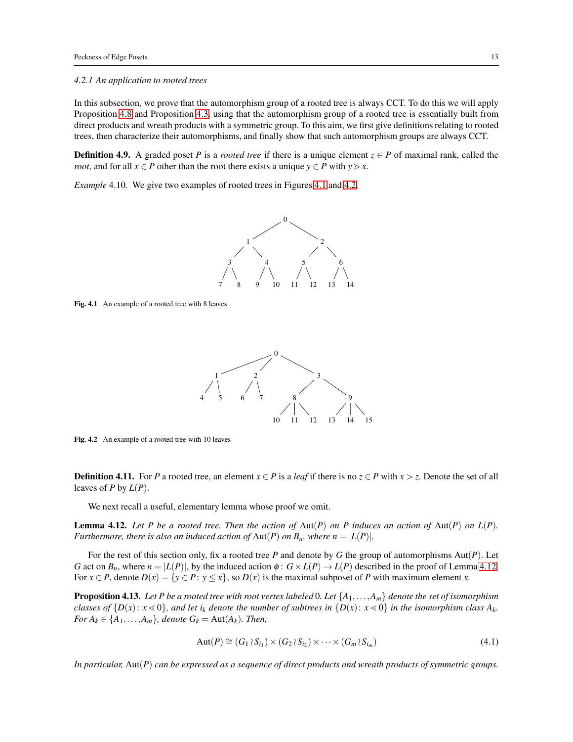#### *4.2.1 An application to rooted trees*

In this subsection, we prove that the automorphism group of a rooted tree is always CCT. To do this we will apply Proposition [4.8](#page-11-1) and Proposition [4.3,](#page-10-1) using that the automorphism group of a rooted tree is essentially built from direct products and wreath products with a symmetric group. To this aim, we first give definitions relating to rooted trees, then characterize their automorphisms, and finally show that such automorphism groups are always CCT.

**Definition 4.9.** A graded poset *P* is a *rooted tree* if there is a unique element  $z \in P$  of maximal rank, called the *root*, and for all  $x \in P$  other than the root there exists a unique  $y \in P$  with  $y \geq x$ .

*Example* 4.10*.* We give two examples of rooted trees in Figures [4.1](#page-12-0) and [4.2.](#page-12-1)



<span id="page-12-0"></span>Fig. 4.1 An example of a rooted tree with 8 leaves



<span id="page-12-1"></span>Fig. 4.2 An example of a rooted tree with 10 leaves

**Definition 4.11.** For *P* a rooted tree, an element  $x \in P$  is a *leaf* if there is no  $z \in P$  with  $x > z$ . Denote the set of all leaves of *P* by  $L(P)$ .

We next recall a useful, elementary lemma whose proof we omit.

<span id="page-12-2"></span>**Lemma 4.12.** Let P be a rooted tree. Then the action of  $Aut(P)$  on P induces an action of  $Aut(P)$  on  $L(P)$ . *Furthermore, there is also an induced action of Aut(P) on*  $B_n$ *, where*  $n = |L(P)|$ *.* 

For the rest of this section only, fix a rooted tree *P* and denote by *G* the group of automorphisms Aut(*P*). Let *G* act on  $B_n$ , where  $n = |L(P)|$ , by the induced action  $\phi : G \times L(P) \to L(P)$  described in the proof of Lemma [4.12.](#page-12-2) For  $x \in P$ , denote  $D(x) = \{y \in P: y \leq x\}$ , so  $D(x)$  is the maximal subposet of P with maximum element *x*.

<span id="page-12-4"></span>Proposition 4.13. *Let P be a rooted tree with root vertex labeled* 0*. Let* {*A*1,...,*Am*} *denote the set of isomorphism classes of*  $\{D(x): x \le 0\}$ , and let  $i_k$  denote the number of subtrees in  $\{D(x): x \le 0\}$  in the isomorphism class  $A_k$ . *For*  $A_k \in \{A_1, \ldots, A_m\}$ *, denote*  $G_k = \text{Aut}(A_k)$ *. Then,* 

<span id="page-12-3"></span>
$$
Aut(P) \cong (G_1 \wr S_{i_1}) \times (G_2 \wr S_{i_2}) \times \cdots \times (G_m \wr S_{i_m})
$$
\n
$$
(4.1)
$$

*In particular,* Aut(*P*) *can be expressed as a sequence of direct products and wreath products of symmetric groups.*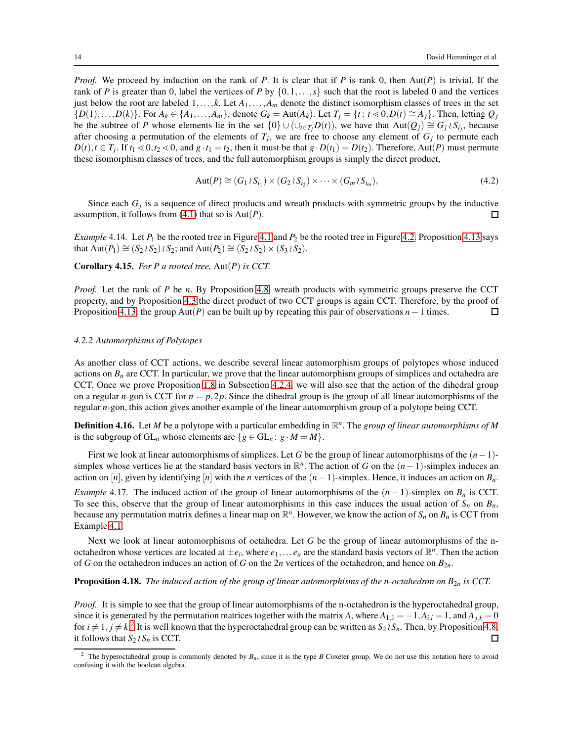*Proof.* We proceed by induction on the rank of *P*. It is clear that if *P* is rank 0, then Aut(*P*) is trivial. If the rank of *P* is greater than 0, label the vertices of *P* by  $\{0,1,\ldots,s\}$  such that the root is labeled 0 and the vertices just below the root are labeled 1,...,*k*. Let *A*1,...,*A<sup>m</sup>* denote the distinct isomorphism classes of trees in the set  $\{D(1),...,D(k)\}\$ . For  $A_k \in \{A_1,...,A_m\}$ , denote  $G_k = \text{Aut}(A_k)$ . Let  $T_j = \{t : t \le 0, D(t) \cong A_j\}$ . Then, letting  $Q_j$ be the subtree of *P* whose elements lie in the set  $\{0\} \cup (\cup_{t \in T_j} D(t))$ , we have that  $Aut(Q_j) \cong G_j \wr S_{i_j}$ , because after choosing a permutation of the elements of  $T_j$ , we are free to choose any element of  $G_j$  to permute each  $D(t)$ ,  $t \in T_j$ . If  $t_1 \le 0$ ,  $t_2 \le 0$ , and  $g \cdot t_1 = t_2$ , then it must be that  $g \cdot D(t_1) = D(t_2)$ . Therefore, Aut $(P)$  must permute these isomorphism classes of trees, and the full automorphism groups is simply the direct product,

$$
Aut(P) \cong (G_1 \wr S_{i_1}) \times (G_2 \wr S_{i_2}) \times \cdots \times (G_m \wr S_{i_m}),
$$
\n(4.2)

Since each  $G_j$  is a sequence of direct products and wreath products with symmetric groups by the inductive assumption, it follows from [\(4.1\)](#page-12-3) that so is Aut(*P*).  $\Box$ 

*Example* [4.1](#page-12-0)4*.* Let  $P_1$  be the rooted tree in Figure 4.1 and  $P_2$  be the rooted tree in Figure [4.2.](#page-12-1) Proposition [4.13](#page-12-4) says that  $Aut(P_1) \cong (S_2 \wr S_2) \wr S_2$ ; and  $Aut(P_2) \cong (S_2 \wr S_2) \times (S_3 \wr S_2)$ .

<span id="page-13-1"></span>Corollary 4.15. *For P a rooted tree,* Aut(*P*) *is CCT.*

*Proof.* Let the rank of *P* be *n*. By Proposition [4.8,](#page-11-1) wreath products with symmetric groups preserve the CCT property, and by Proposition [4.3](#page-10-1) the direct product of two CCT groups is again CCT. Therefore, by the proof of Proposition [4.13,](#page-12-4) the group Aut(*P*) can be built up by repeating this pair of observations *n*−1 times.  $\Box$ 

#### <span id="page-13-2"></span>*4.2.2 Automorphisms of Polytopes*

As another class of CCT actions, we describe several linear automorphism groups of polytopes whose induced actions on  $B_n$  are CCT. In particular, we prove that the linear automorphism groups of simplices and octahedra are CCT. Once we prove Proposition [1.8](#page-2-3) in Subsection [4.2.4,](#page-14-0) we will also see that the action of the dihedral group on a regular *n*-gon is CCT for  $n = p, 2p$ . Since the dihedral group is the group of all linear automorphisms of the regular *n*-gon, this action gives another example of the linear automorphism group of a polytope being CCT.

Definition 4.16. Let *M* be a polytope with a particular embedding in  $\mathbb{R}^n$ . The *group of linear automorphisms of M* is the subgroup of  $GL_n$  whose elements are  $\{g \in GL_n : g \cdot M = M\}.$ 

First we look at linear automorphisms of simplices. Let *G* be the group of linear automorphisms of the (*n*−1) simplex whose vertices lie at the standard basis vectors in  $\mathbb{R}^n$ . The action of *G* on the  $(n-1)$ -simplex induces an action on [*n*], given by identifying [*n*] with the *n* vertices of the  $(n-1)$ -simplex. Hence, it induces an action on  $B_n$ .

*Example* 4.17. The induced action of the group of linear automorphisms of the  $(n-1)$ -simplex on  $B_n$  is CCT. To see this, observe that the group of linear automorphisms in this case induces the usual action of  $S_n$  on  $B_n$ , because any permutation matrix defines a linear map on  $\mathbb{R}^n$ . However, we know the action of  $S_n$  on  $B_n$  is CCT from Example [4.1.](#page-10-2)

Next we look at linear automorphisms of octahedra. Let *G* be the group of linear automorphisms of the noctahedron whose vertices are located at  $\pm e_i$ , where  $e_1, \ldots e_n$  are the standard basis vectors of  $\mathbb{R}^n$ . Then the action of *G* on the octahedron induces an action of *G* on the 2*n* vertices of the octahedron, and hence on  $B_{2n}$ .

## **Proposition 4.18.** *The induced action of the group of linear automorphisms of the n-octahedron on*  $B_{2n}$  *is CCT.*

*Proof.* It is simple to see that the group of linear automorphisms of the n-octahedron is the hyperoctahedral group, since it is generated by the permutation matrices together with the matrix *A*, where  $A_{1,1} = -1$ ,  $A_{i,i} = 1$ , and  $A_{j,k} = 0$ for  $i \neq 1, j \neq k$ .<sup>[2](#page-13-0)</sup> It is well known that the hyperoctahedral group can be written as  $S_2 \wr S_n$ . Then, by Proposition [4.8,](#page-11-1) it follows that  $S_2 \wr S_n$  is CCT. □

<span id="page-13-0"></span><sup>&</sup>lt;sup>2</sup> The hyperoctahedral group is commonly denoted by  $B_n$ , since it is the type *B* Coxeter group. We do not use this notation here to avoid confusing it with the boolean algebra.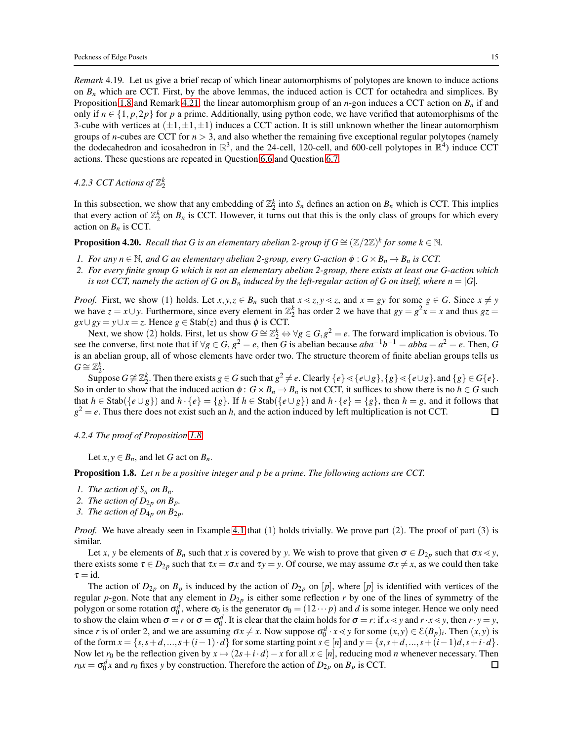*Remark* 4.19*.* Let us give a brief recap of which linear automorphisms of polytopes are known to induce actions on  $B_n$  which are CCT. First, by the above lemmas, the induced action is CCT for octahedra and simplices. By Proposition [1.8](#page-2-3) and Remark [4.21,](#page-15-1) the linear automorphism group of an *n*-gon induces a CCT action on *B<sup>n</sup>* if and only if  $n \in \{1, p, 2p\}$  for *p* a prime. Additionally, using python code, we have verified that automorphisms of the 3-cube with vertices at  $(\pm 1, \pm 1, \pm 1)$  induces a CCT action. It is still unknown whether the linear automorphism groups of *n*-cubes are CCT for *n* > 3, and also whether the remaining five exceptional regular polytopes (namely the dodecahedron and icosahedron in  $\mathbb{R}^3$ , and the 24-cell, 120-cell, and 600-cell polytopes in  $\mathbb{R}^4$ ) induce CCT actions. These questions are repeated in Question [6.6](#page-16-0) and Question [6.7.](#page-17-6)

# 4.2.3 CCT Actions of  $\mathbb{Z}_2^k$

In this subsection, we show that any embedding of  $\mathbb{Z}_2^k$  into  $S_n$  defines an action on  $B_n$  which is CCT. This implies that every action of  $\mathbb{Z}_2^k$  on  $B_n$  is CCT. However, it turns out that this is the only class of groups for which every action on  $B_n$  is CCT.

**Proposition 4.20.** Recall that G is an elementary abelian 2-group if  $G \cong (\mathbb{Z}/2\mathbb{Z})^k$  for some  $k \in \mathbb{N}$ .

- *1. For any*  $n \in \mathbb{N}$ , and G an elementary abelian 2-group, every G-action  $\phi : G \times B_n \to B_n$  is CCT.
- *2. For every finite group G which is not an elementary abelian 2-group, there exists at least one G-action which is not CCT, namely the action of G on*  $B_n$  *induced by the left-regular action of G on itself, where*  $n = |G|$ *.*

*Proof.* First, we show (1) holds. Let  $x, y, z \in B_n$  such that  $x \le z, y \le z$ , and  $x = gy$  for some  $g \in G$ . Since  $x \ne y$ we have  $z = x \cup y$ . Furthermore, since every element in  $\mathbb{Z}_2^k$  has order 2 we have that  $gy = g^2 x = x$  and thus  $gz =$  $gx \cup gy = y \cup x = z$ . Hence  $g \in \text{Stab}(z)$  and thus  $\phi$  is CCT.

Next, we show (2) holds. First, let us show  $G \cong \mathbb{Z}_2^k \Leftrightarrow \forall g \in G, g^2 = e$ . The forward implication is obvious. To see the converse, first note that if  $\forall g \in G$ ,  $g^2 = e$ , then *G* is abelian because  $aba^{-1}b^{-1} = abba = a^2 = e$ . Then, *G* is an abelian group, all of whose elements have order two. The structure theorem of finite abelian groups tells us  $G \cong \mathbb{Z}_2^k$ .

Suppose  $G \not\cong \mathbb{Z}_2^k$ . Then there exists  $g \in G$  such that  $g^2 \neq e$ . Clearly  $\{e\} \leq \{e \cup g\}$ ,  $\{g\} \leq \{e \cup g\}$ , and  $\{g\} \in G\{e\}$ . So in order to show that the induced action  $\phi$ :  $G \times B_n \to B_n$  is not CCT, it suffices to show there is no  $h \in G$  such that  $h \in \text{Stab}(\{e \cup g\})$  and  $h \cdot \{e\} = \{g\}$ . If  $h \in \text{Stab}(\{e \cup g\})$  and  $h \cdot \{e\} = \{g\}$ , then  $h = g$ , and it follows that  $g^2 = e$ . Thus there does not exist such an *h*, and the action induced by left multiplication is not CCT.  $\Box$ 

<span id="page-14-0"></span>*4.2.4 The proof of Proposition [1.8](#page-2-3)*

Let  $x, y \in B_n$ , and let *G* act on  $B_n$ .

Proposition 1.8. *Let n be a positive integer and p be a prime. The following actions are CCT.*

- *1. The action of*  $S_n$  *on*  $B_n$ *.*
- 2. The action of  $D_{2p}$  on  $B_p$ .
- *3. The action of*  $D_{4p}$  *on*  $B_{2p}$ *.*

*Proof.* We have already seen in Example [4.1](#page-10-2) that (1) holds trivially. We prove part (2). The proof of part (3) is similar.

Let *x*, *y* be elements of  $B_n$  such that *x* is covered by *y*. We wish to prove that given  $\sigma \in D_{2p}$  such that  $\sigma x \ll y$ , there exists some  $\tau \in D_{2p}$  such that  $\tau x = \sigma x$  and  $\tau y = y$ . Of course, we may assume  $\sigma x \neq x$ , as we could then take  $\tau = id$ .

The action of  $D_{2p}$  on  $B_p$  is induced by the action of  $D_{2p}$  on [p], where [p] is identified with vertices of the regular *p*-gon. Note that any element in  $D_{2p}$  is either some reflection *r* by one of the lines of symmetry of the polygon or some rotation  $\sigma_0^d$ , where  $\sigma_0$  is the generator  $\sigma_0 = (12 \cdots p)$  and *d* is some integer. Hence we only need to show the claim when  $\sigma = r$  or  $\sigma = \sigma_0^d$ . It is clear that the claim holds for  $\sigma = r$ : if  $x \le y$  and  $r \cdot x \le y$ , then  $r \cdot y = y$ , since *r* is of order 2, and we are assuming  $\sigma x \neq x$ . Now suppose  $\sigma_0^d \cdot x \leq y$  for some  $(x, y) \in \mathcal{E}(B_p)_i$ . Then  $(x, y)$  is of the form  $x = \{s, s+d, ..., s+(i-1)\cdot d\}$  for some starting point  $s \in [n]$  and  $y = \{s, s+d, ..., s+(i-1)d, s+i\cdot d\}$ . Now let  $r_0$  be the reflection given by  $x \mapsto (2s + i \cdot d) - x$  for all  $x \in [n]$ , reducing mod *n* whenever necessary. Then  $r_0x = \sigma_0^dx$  and  $r_0$  fixes *y* by construction. Therefore the action of  $D_{2p}$  on  $B_p$  is CCT.  $\Box$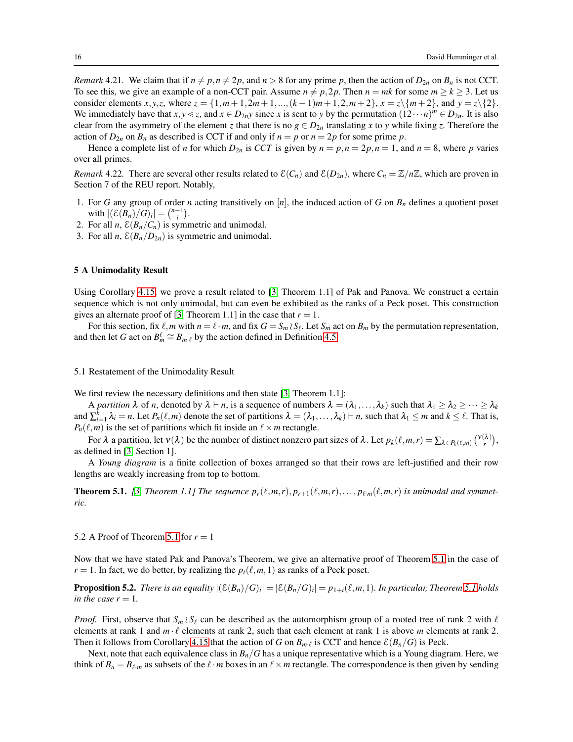<span id="page-15-1"></span>*Remark* 4.21. We claim that if  $n \neq p, n \neq 2p$ , and  $n > 8$  for any prime p, then the action of  $D_{2n}$  on  $B_n$  is not CCT. To see this, we give an example of a non-CCT pair. Assume  $n \neq p$ , 2p. Then  $n = mk$  for some  $m \geq k \geq 3$ . Let us consider elements *x*,*y*,*z*, where  $z = \{1, m+1, 2m+1, ..., (k-1)m+1, 2, m+2\}$ ,  $x = z\{\{m+2\}$ , and  $y = z\{2\}$ . We immediately have that  $x, y \le z$ , and  $x \in D_{2n}y$  since *x* is sent to *y* by the permutation  $(12 \cdots n)^m \in D_{2n}$ . It is also clear from the asymmetry of the element *z* that there is no  $g \in D_{2n}$  translating *x* to *y* while fixing *z*. Therefore the action of  $D_{2n}$  on  $B_n$  as described is CCT if and only if  $n = p$  or  $n = 2p$  for some prime p.

Hence a complete list of *n* for which  $D_{2n}$  is *CCT* is given by  $n = p, n = 2p, n = 1$ , and  $n = 8$ , where *p* varies over all primes.

*Remark* 4.22. There are several other results related to  $\mathcal{E}(C_n)$  and  $\mathcal{E}(D_{2n})$ , where  $C_n = \mathbb{Z}/n\mathbb{Z}$ , which are proven in Section 7 of the REU report. Notably,

- 1. For *G* any group of order *n* acting transitively on [*n*], the induced action of *G* on *B<sup>n</sup>* defines a quotient poset with  $|(\mathcal{E}(B_n)/G)_i| = {n-1 \choose i}$ .
- 2. For all *n*,  $\mathcal{E}(B_n/C_n)$  is symmetric and unimodal.
- 3. For all *n*,  $\mathcal{E}(B_n/D_{2n})$  is symmetric and unimodal.

#### <span id="page-15-0"></span>5 A Unimodality Result

Using Corollary [4.15,](#page-13-1) we prove a result related to [\[3,](#page-17-3) Theorem 1.1] of Pak and Panova. We construct a certain sequence which is not only unimodal, but can even be exhibited as the ranks of a Peck poset. This construction gives an alternate proof of [\[3,](#page-17-3) Theorem 1.1] in the case that  $r = 1$ .

For this section, fix  $\ell$ , *m* with  $n = \ell \cdot m$ , and fix  $G = S_m \wr S_\ell$ . Let  $S_m$  act on  $B_m$  by the permutation representation, and then let *G* act on  $B_m^{\ell} \cong B_{m\ell}$  by the action defined in Definition [4.5.](#page-11-2)

## 5.1 Restatement of the Unimodality Result

We first review the necessary definitions and then state [\[3,](#page-17-3) Theorem 1.1]:

A *partition*  $\lambda$  of *n*, denoted by  $\lambda \vdash n$ , is a sequence of numbers  $\lambda = (\lambda_1, \ldots, \lambda_k)$  such that  $\lambda_1 \geq \lambda_2 \geq \cdots \geq \lambda_k$ and  $\sum_{i=1}^{k} \lambda_i = n$ . Let  $P_n(\ell,m)$  denote the set of partitions  $\lambda = (\lambda_1,\ldots,\lambda_k) \vdash n$ , such that  $\lambda_1 \leq m$  and  $k \leq \ell$ . That is,  $P_n(\ell,m)$  is the set of partitions which fit inside an  $\ell \times m$  rectangle.

For  $\lambda$  a partition, let  $v(\lambda)$  be the number of distinct nonzero part sizes of  $\lambda$ . Let  $p_k(\ell,m,r) = \sum_{\lambda \in P_k(\ell,m)} \binom{v(\lambda)}{r}$ , as defined in [\[3,](#page-17-3) Section 1].

A *Young diagram* is a finite collection of boxes arranged so that their rows are left-justified and their row lengths are weakly increasing from top to bottom.

<span id="page-15-2"></span>**Theorem 5.1.** [\[3,](#page-17-3) Theorem 1.1] The sequence  $p_r(\ell,m,r), p_{r+1}(\ell,m,r), \ldots, p_{\ell,m}(\ell,m,r)$  is unimodal and symmet*ric.*

5.2 A Proof of Theorem [5.1](#page-15-2) for  $r = 1$ 

Now that we have stated Pak and Panova's Theorem, we give an alternative proof of Theorem [5.1](#page-15-2) in the case of  $r = 1$ . In fact, we do better, by realizing the  $p_i(\ell, m, 1)$  as ranks of a Peck poset.

**Proposition 5.2.** There is an equality  $|(\mathcal{E}(B_n)/G)_i|=|\mathcal{E}(B_n/G)_i|=p_{1+i}(\ell,m,1)$ . In particular, Theorem [5.1](#page-15-2) holds *in the case*  $r = 1$ *.* 

*Proof.* First, observe that  $S_m \wr S_\ell$  can be described as the automorphism group of a rooted tree of rank 2 with  $\ell$ elements at rank 1 and  $m \cdot \ell$  elements at rank 2, such that each element at rank 1 is above *m* elements at rank 2. Then it follows from Corollary [4.15](#page-13-1) that the action of *G* on  $B_{m\ell}$  is CCT and hence  $\mathcal{E}(B_n/G)$  is Peck.

Next, note that each equivalence class in *Bn*/*G* has a unique representative which is a Young diagram. Here, we think of  $B_n = B_{\ell,m}$  as subsets of the  $\ell \cdot m$  boxes in an  $\ell \times m$  rectangle. The correspondence is then given by sending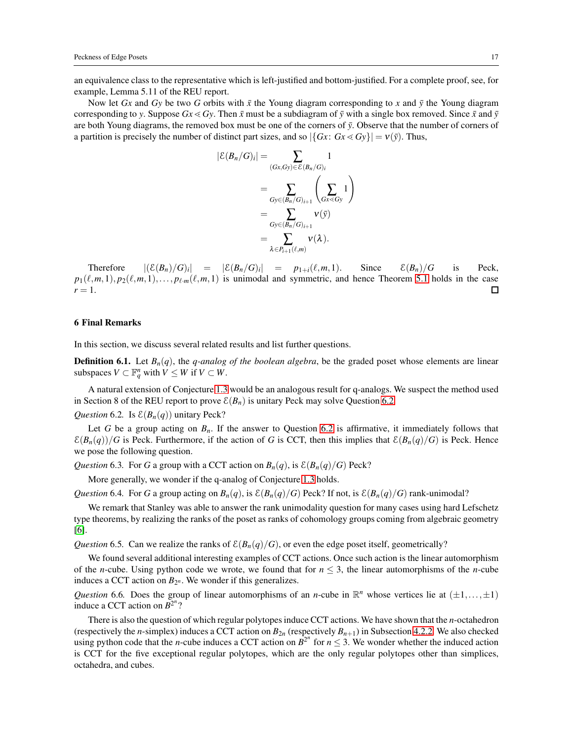an equivalence class to the representative which is left-justified and bottom-justified. For a complete proof, see, for example, Lemma 5.11 of the REU report.

Now let *Gx* and *Gy* be two *G* orbits with  $\bar{x}$  the Young diagram corresponding to *x* and  $\bar{y}$  the Young diagram corresponding to *y*. Suppose  $Gx \ll Gy$ . Then  $\bar{x}$  must be a subdiagram of  $\bar{y}$  with a single box removed. Since  $\bar{x}$  and  $\bar{y}$ are both Young diagrams, the removed box must be one of the corners of  $\bar{y}$ . Observe that the number of corners of a partition is precisely the number of distinct part sizes, and so  $|\{Gx: Gx \le Gy\}| = v(\bar{y})$ . Thus,

$$
|\mathcal{E}(B_n/G)_i| = \sum_{(Gx,Gy)\in\mathcal{E}(B_n/G)_i} 1
$$
  
= 
$$
\sum_{Gy\in(B_n/G)_{i+1}} \left(\sum_{Gx\leq Gy} 1\right)
$$
  
= 
$$
\sum_{Gy\in(B_n/G)_{i+1}} \mathsf{v}(\bar{y})
$$
  
= 
$$
\sum_{\lambda \in P_{i+1}(\ell,m)} \mathsf{v}(\lambda).
$$

Therefore  $|(\mathcal{E}(B_n)/G)_i| = |\mathcal{E}(B_n/G)_i| = p_{1+i}(\ell,m,1)$ . Since  $\mathcal{E}(B_n)/G$  is Peck,  $p_1(\ell,m,1), p_2(\ell,m,1),\ldots,p_{\ell,m}(\ell,m,1)$  is unimodal and symmetric, and hence Theorem [5.1](#page-15-2) holds in the case  $r=1$ .  $\Box$ 

## 6 Final Remarks

In this section, we discuss several related results and list further questions.

**Definition 6.1.** Let  $B_n(q)$ , the *q-analog of the boolean algebra*, be the graded poset whose elements are linear subspaces  $V \subset \mathbb{F}_q^n$  with  $V \leq W$  if  $V \subset W$ .

A natural extension of Conjecture [1.3](#page-2-6) would be an analogous result for q-analogs. We suspect the method used in Section 8 of the REU report to prove  $\mathcal{E}(B_n)$  is unitary Peck may solve Question [6.2.](#page-16-1)

<span id="page-16-1"></span>*Question* 6.2. Is  $\mathcal{E}(B_n(q))$  unitary Peck?

Let *G* be a group acting on *Bn*. If the answer to Question [6.2](#page-16-1) is affirmative, it immediately follows that  $\mathcal{E}(B_n(q))/G$  is Peck. Furthermore, if the action of *G* is CCT, then this implies that  $\mathcal{E}(B_n(q)/G)$  is Peck. Hence we pose the following question.

*Question* 6.3. For *G* a group with a CCT action on  $B_n(q)$ , is  $\mathcal{E}(B_n(q)/G)$  Peck?

More generally, we wonder if the q-analog of Conjecture [1.3](#page-2-6) holds.

*Question* 6.4. For *G* a group acting on  $B_n(q)$ , is  $\mathcal{E}(B_n(q)/G)$  Peck? If not, is  $\mathcal{E}(B_n(q)/G)$  rank-unimodal?

We remark that Stanley was able to answer the rank unimodality question for many cases using hard Lefschetz type theorems, by realizing the ranks of the poset as ranks of cohomology groups coming from algebraic geometry [\[6\]](#page-17-7).

*Question* 6.5. Can we realize the ranks of  $\mathcal{E}(B_n(q)/G)$ , or even the edge poset itself, geometrically?

We found several additional interesting examples of CCT actions. Once such action is the linear automorphism of the *n*-cube. Using python code we wrote, we found that for  $n \leq 3$ , the linear automorphisms of the *n*-cube induces a CCT action on  $B_{2^n}$ . We wonder if this generalizes.

<span id="page-16-0"></span>*Question* 6.6. Does the group of linear automorphisms of an *n*-cube in  $\mathbb{R}^n$  whose vertices lie at  $(\pm 1, \ldots, \pm 1)$ induce a CCT action on  $\overline{B^2}^n$ ?

There is also the question of which regular polytopes induce CCT actions. We have shown that the *n*-octahedron (respectively the *n*-simplex) induces a CCT action on  $B_{2n}$  (respectively  $B_{n+1}$ ) in Subsection [4.2.2.](#page-13-2) We also checked using python code that the *n*-cube induces a CCT action on  $B^{2^n}$  for  $n \le 3$ . We wonder whether the induced action is CCT for the five exceptional regular polytopes, which are the only regular polytopes other than simplices, octahedra, and cubes.